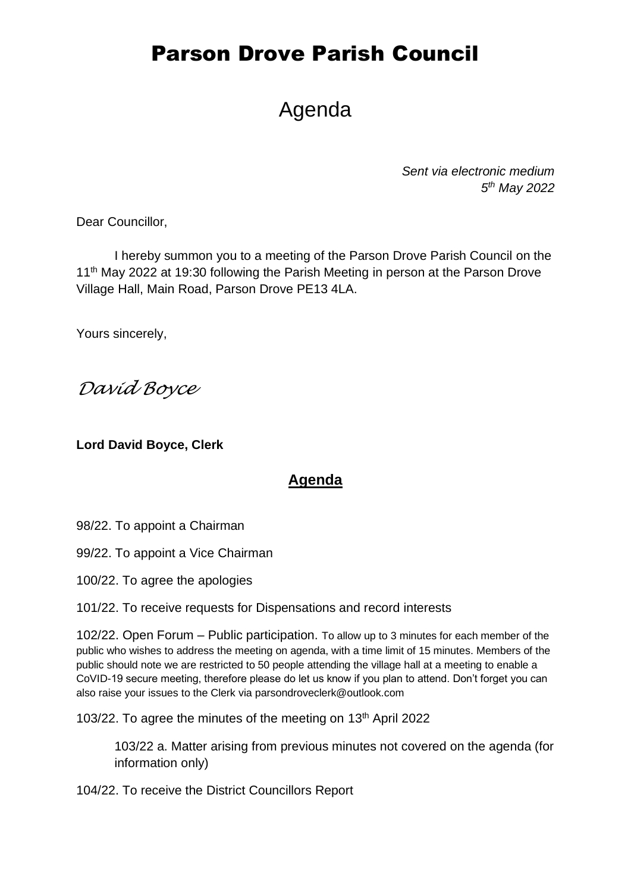# Agenda

*Sent via electronic medium 5 th May 2022*

Dear Councillor,

I hereby summon you to a meeting of the Parson Drove Parish Council on the 11<sup>th</sup> May 2022 at 19:30 following the Parish Meeting in person at the Parson Drove Village Hall, Main Road, Parson Drove PE13 4LA.

Yours sincerely,

*David Boyce*

**Lord David Boyce, Clerk**

#### **Agenda**

98/22. To appoint a Chairman

99/22. To appoint a Vice Chairman

100/22. To agree the apologies

101/22. To receive requests for Dispensations and record interests

102/22. Open Forum – Public participation. To allow up to 3 minutes for each member of the public who wishes to address the meeting on agenda, with a time limit of 15 minutes. Members of the public should note we are restricted to 50 people attending the village hall at a meeting to enable a CoVID-19 secure meeting, therefore please do let us know if you plan to attend. Don't forget you can also raise your issues to the Clerk via parsondroveclerk@outlook.com

103/22. To agree the minutes of the meeting on 13<sup>th</sup> April 2022

103/22 a. Matter arising from previous minutes not covered on the agenda (for information only)

104/22. To receive the District Councillors Report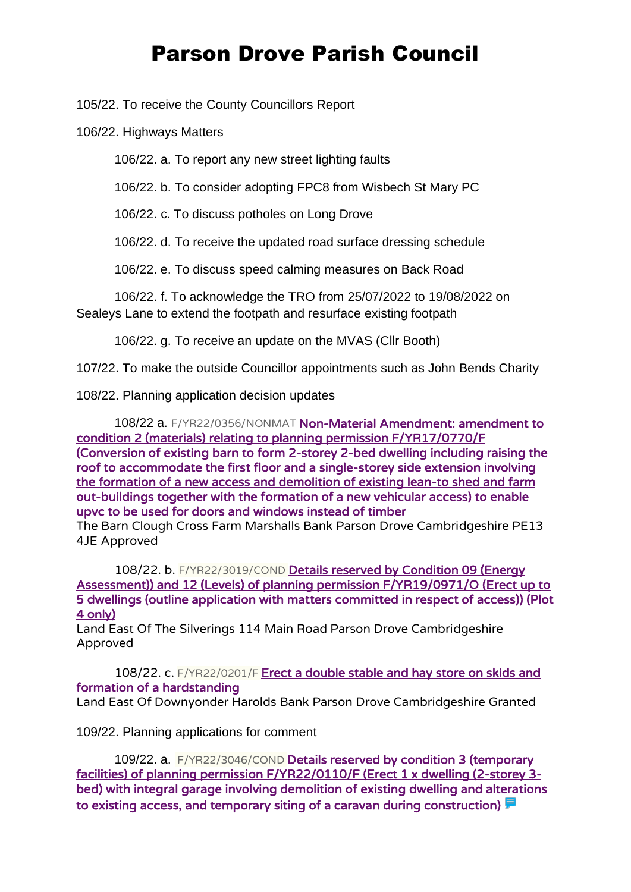105/22. To receive the County Councillors Report

106/22. Highways Matters

106/22. a. To report any new street lighting faults

106/22. b. To consider adopting FPC8 from Wisbech St Mary PC

106/22. c. To discuss potholes on Long Drove

106/22. d. To receive the updated road surface dressing schedule

106/22. e. To discuss speed calming measures on Back Road

106/22. f. To acknowledge the TRO from 25/07/2022 to 19/08/2022 on Sealeys Lane to extend the footpath and resurface existing footpath

106/22. g. To receive an update on the MVAS (Cllr Booth)

107/22. To make the outside Councillor appointments such as John Bends Charity

108/22. Planning application decision updates

108/22 a. F/YR22/0356/NONMAT Non-Material Amendment: amendment to [condition 2 \(materials\) relating to planning permission F/YR17/0770/F](https://www.publicaccess.fenland.gov.uk/publicaccess/applicationDetails.do?keyVal=R9I1SRHE0D800&activeTab=summary)  [\(Conversion of existing barn to form 2-storey 2-bed dwelling including raising the](https://www.publicaccess.fenland.gov.uk/publicaccess/applicationDetails.do?keyVal=R9I1SRHE0D800&activeTab=summary)  [roof to accommodate the first floor and a single-storey side extension involving](https://www.publicaccess.fenland.gov.uk/publicaccess/applicationDetails.do?keyVal=R9I1SRHE0D800&activeTab=summary)  [the formation of a new access and demolition of existing lean-to shed and farm](https://www.publicaccess.fenland.gov.uk/publicaccess/applicationDetails.do?keyVal=R9I1SRHE0D800&activeTab=summary)  [out-buildings together with the formation of a new vehicular access\) to enable](https://www.publicaccess.fenland.gov.uk/publicaccess/applicationDetails.do?keyVal=R9I1SRHE0D800&activeTab=summary)  [upvc to be used for doors and windows instead of timber](https://www.publicaccess.fenland.gov.uk/publicaccess/applicationDetails.do?keyVal=R9I1SRHE0D800&activeTab=summary)

The Barn Clough Cross Farm Marshalls Bank Parson Drove Cambridgeshire PE13 4JE Approved

108/22. b. F/YR22/3019/COND [Details reserved by Condition 09 \(Energy](https://www.publicaccess.fenland.gov.uk/publicaccess/applicationDetails.do?keyVal=R7GAY1HE0D800&activeTab=summary)  [Assessment\)\) and 12 \(Levels\) of planning permission F/YR19/0971/O \(Erect up to](https://www.publicaccess.fenland.gov.uk/publicaccess/applicationDetails.do?keyVal=R7GAY1HE0D800&activeTab=summary)  [5 dwellings \(outline application with matters committed in respect of access\)\) \(Plot](https://www.publicaccess.fenland.gov.uk/publicaccess/applicationDetails.do?keyVal=R7GAY1HE0D800&activeTab=summary)  [4 only\)](https://www.publicaccess.fenland.gov.uk/publicaccess/applicationDetails.do?keyVal=R7GAY1HE0D800&activeTab=summary)

Land East Of The Silverings 114 Main Road Parson Drove Cambridgeshire Approved

108/22. c. F/YR22/0201/F Erect a double stable and hay store on skids and [formation of a hardstanding](https://www.publicaccess.fenland.gov.uk/publicaccess/applicationDetails.do?keyVal=R6OK5CHE0D800&activeTab=summary)

Land East Of Downyonder Harolds Bank Parson Drove Cambridgeshire Granted

109/22. Planning applications for comment

109/22. a. F/YR22/3046/COND [Details reserved by condition 3 \(temporary](https://www.publicaccess.fenland.gov.uk/publicaccess/applicationDetails.do?keyVal=RBCOP2HE01U00&activeTab=summary)  [facilities\) of planning permission F/YR22/0110/F \(Erect 1 x dwelling \(2-storey 3](https://www.publicaccess.fenland.gov.uk/publicaccess/applicationDetails.do?keyVal=RBCOP2HE01U00&activeTab=summary) [bed\) with integral garage involving demolition of existing dwelling and alterations](https://www.publicaccess.fenland.gov.uk/publicaccess/applicationDetails.do?keyVal=RBCOP2HE01U00&activeTab=summary)  to existing access, and temporary siting of a caravan during construction)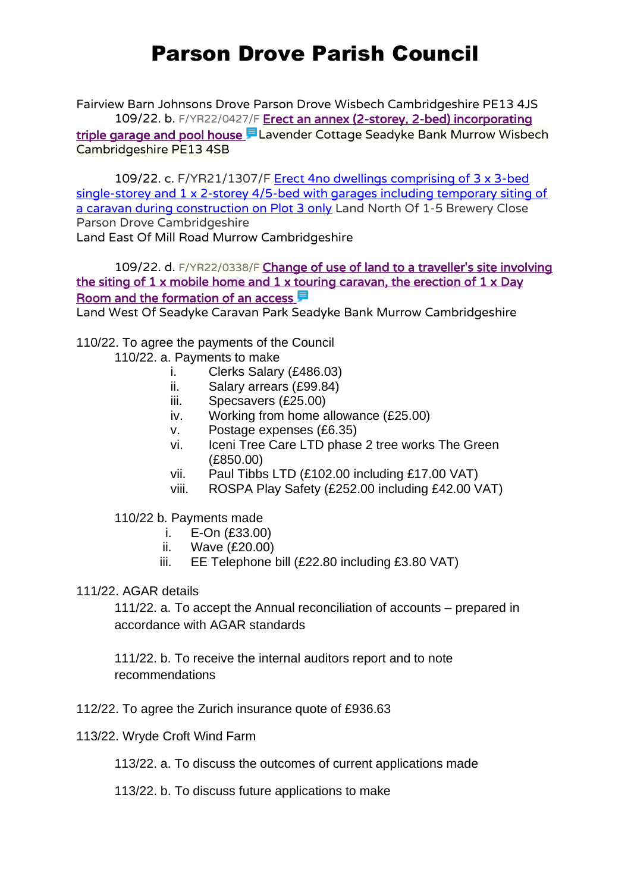Fairview Barn Johnsons Drove Parson Drove Wisbech Cambridgeshire PE13 4JS 109/22. b. F/YR22/0427/F Erect an annex (2-storey, 2-bed) incorporating [triple garage and pool house](https://www.publicaccess.fenland.gov.uk/publicaccess/applicationDetails.do?keyVal=RAA4E1HE0D800&activeTab=summary) E Lavender Cottage Seadyke Bank Murrow Wisbech Cambridgeshire PE13 4SB

109/22. c. F/YR21/1307/F Erect 4no dwellings comprising of 3 x 3-bed [single-storey and 1 x 2-storey 4/5-bed with garages including temporary siting of](https://www.publicaccess.fenland.gov.uk/publicaccess/applicationDetails.do?activeTab=summary&keyVal=R2020MHE0I900)  [a caravan during construction on Plot 3 only](https://www.publicaccess.fenland.gov.uk/publicaccess/applicationDetails.do?activeTab=summary&keyVal=R2020MHE0I900) Land North Of 1-5 Brewery Close Parson Drove Cambridgeshire

Land East Of Mill Road Murrow Cambridgeshire

109/22. d. F/YR22/0338/F Change of use of land to a traveller's site involving the siting of  $1 \times$  mobile home and  $1 \times$  touring caravan, the erection of  $1 \times$  Day [Room and the formation of an access](https://www.publicaccess.fenland.gov.uk/publicaccess/applicationDetails.do?keyVal=R8SFLCHE06P00&activeTab=summary)  $\blacksquare$ 

Land West Of Seadyke Caravan Park Seadyke Bank Murrow Cambridgeshire

110/22. To agree the payments of the Council

- 110/22. a. Payments to make
	- i. Clerks Salary (£486.03)
	- ii. Salary arrears (£99.84)
	- iii. Specsavers (£25.00)
	- iv. Working from home allowance (£25.00)
	- v. Postage expenses (£6.35)
	- vi. Iceni Tree Care LTD phase 2 tree works The Green (£850.00)
	- vii. Paul Tibbs LTD (£102.00 including £17.00 VAT)
	- viii. ROSPA Play Safety (£252.00 including £42.00 VAT)

110/22 b. Payments made

- i. E-On (£33.00)
- ii. Wave (£20.00)
- iii. EE Telephone bill (£22.80 including £3.80 VAT)
- 111/22. AGAR details

111/22. a. To accept the Annual reconciliation of accounts – prepared in accordance with AGAR standards

111/22. b. To receive the internal auditors report and to note recommendations

- 112/22. To agree the Zurich insurance quote of £936.63
- 113/22. Wryde Croft Wind Farm

113/22. a. To discuss the outcomes of current applications made

113/22. b. To discuss future applications to make